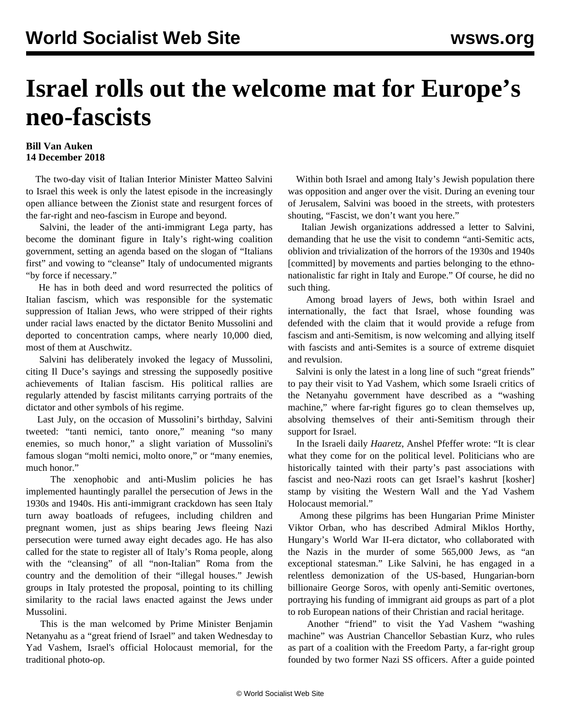## **Israel rolls out the welcome mat for Europe's neo-fascists**

## **Bill Van Auken 14 December 2018**

 The two-day visit of Italian Interior Minister Matteo Salvini to Israel this week is only the latest episode in the increasingly open alliance between the Zionist state and resurgent forces of the far-right and neo-fascism in Europe and beyond.

 Salvini, the leader of the anti-immigrant Lega party, has become the dominant figure in Italy's right-wing coalition government, setting an agenda based on the slogan of "Italians first" and vowing to "cleanse" Italy of undocumented migrants "by force if necessary."

 He has in both deed and word resurrected the politics of Italian fascism, which was responsible for the systematic suppression of Italian Jews, who were stripped of their rights under racial laws enacted by the dictator Benito Mussolini and deported to concentration camps, where nearly 10,000 died, most of them at Auschwitz.

 Salvini has deliberately invoked the legacy of Mussolini, citing Il Duce's sayings and stressing the supposedly positive achievements of Italian fascism. His political rallies are regularly attended by fascist militants carrying portraits of the dictator and other symbols of his regime.

 Last July, on the occasion of Mussolini's birthday, Salvini tweeted: "tanti nemici, tanto onore," meaning "so many enemies, so much honor," a slight variation of Mussolini's famous slogan "molti nemici, molto onore," or "many enemies, much honor."

 The xenophobic and anti-Muslim policies he has implemented hauntingly parallel the persecution of Jews in the 1930s and 1940s. His anti-immigrant crackdown has seen Italy turn away boatloads of refugees, including children and pregnant women, just as ships bearing Jews fleeing Nazi persecution were turned away eight decades ago. He has also called for the state to register all of Italy's Roma people, along with the "cleansing" of all "non-Italian" Roma from the country and the demolition of their "illegal houses." Jewish groups in Italy protested the proposal, pointing to its chilling similarity to the racial laws enacted against the Jews under Mussolini.

 This is the man welcomed by Prime Minister Benjamin Netanyahu as a "great friend of Israel" and taken Wednesday to Yad Vashem, Israel's official Holocaust memorial, for the traditional photo-op.

 Within both Israel and among Italy's Jewish population there was opposition and anger over the visit. During an evening tour of Jerusalem, Salvini was booed in the streets, with protesters shouting, "Fascist, we don't want you here."

 Italian Jewish organizations addressed a letter to Salvini, demanding that he use the visit to condemn "anti-Semitic acts, oblivion and trivialization of the horrors of the 1930s and 1940s [committed] by movements and parties belonging to the ethnonationalistic far right in Italy and Europe." Of course, he did no such thing.

 Among broad layers of Jews, both within Israel and internationally, the fact that Israel, whose founding was defended with the claim that it would provide a refuge from fascism and anti-Semitism, is now welcoming and allying itself with fascists and anti-Semites is a source of extreme disquiet and revulsion.

 Salvini is only the latest in a long line of such "great friends" to pay their visit to Yad Vashem, which some Israeli critics of the Netanyahu government have described as a "washing machine," where far-right figures go to clean themselves up, absolving themselves of their anti-Semitism through their support for Israel.

 In the Israeli daily *Haaretz*, Anshel Pfeffer wrote: "It is clear what they come for on the political level. Politicians who are historically tainted with their party's past associations with fascist and neo-Nazi roots can get Israel's kashrut [kosher] stamp by visiting the Western Wall and the Yad Vashem Holocaust memorial."

 Among these pilgrims has been Hungarian Prime Minister Viktor Orban, who has described Admiral Miklos Horthy, Hungary's World War II-era dictator, who collaborated with the Nazis in the murder of some 565,000 Jews, as "an exceptional statesman." Like Salvini, he has engaged in a relentless demonization of the US-based, Hungarian-born billionaire George Soros, with openly anti-Semitic overtones, portraying his funding of immigrant aid groups as part of a plot to rob European nations of their Christian and racial heritage.

 Another "friend" to visit the Yad Vashem "washing machine" was Austrian Chancellor Sebastian Kurz, who rules as part of a coalition with the Freedom Party, a far-right group founded by two former Nazi SS officers. After a guide pointed